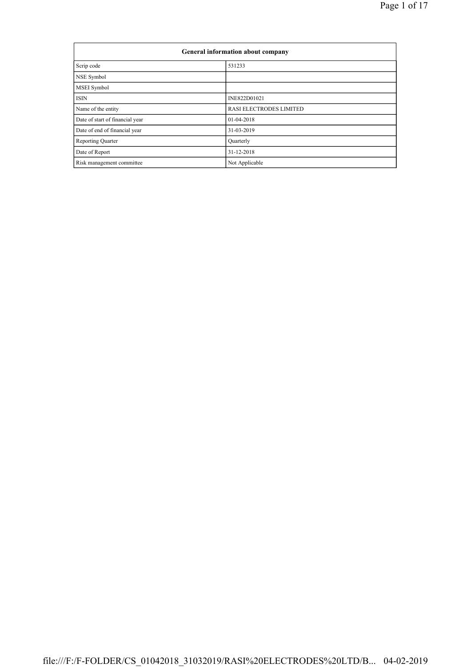|                                 | General information about company |  |  |  |  |  |  |  |
|---------------------------------|-----------------------------------|--|--|--|--|--|--|--|
| Scrip code                      | 531233                            |  |  |  |  |  |  |  |
| NSE Symbol                      |                                   |  |  |  |  |  |  |  |
| <b>MSEI</b> Symbol              |                                   |  |  |  |  |  |  |  |
| <b>ISIN</b>                     | INE822D01021                      |  |  |  |  |  |  |  |
| Name of the entity              | <b>RASI ELECTRODES LIMITED</b>    |  |  |  |  |  |  |  |
| Date of start of financial year | $01-04-2018$                      |  |  |  |  |  |  |  |
| Date of end of financial year   | 31-03-2019                        |  |  |  |  |  |  |  |
| <b>Reporting Quarter</b>        | Quarterly                         |  |  |  |  |  |  |  |
| Date of Report                  | 31-12-2018                        |  |  |  |  |  |  |  |
| Risk management committee       | Not Applicable                    |  |  |  |  |  |  |  |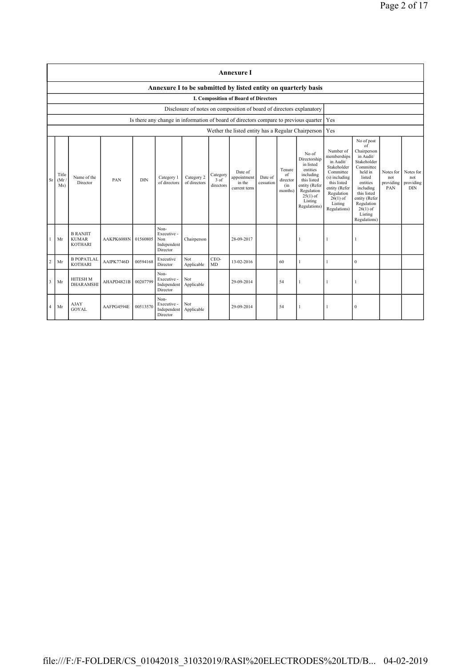|                         | <b>Annexure I</b>                                                                                                                                                                                                                                                                                                                                                                                                                                 |                                                   |            |          |                                                       |                                                                                                                                                                           |                                                                                                                                                                                                               |                                                                      |                                             |    |                                                                                      |              |              |  |  |
|-------------------------|---------------------------------------------------------------------------------------------------------------------------------------------------------------------------------------------------------------------------------------------------------------------------------------------------------------------------------------------------------------------------------------------------------------------------------------------------|---------------------------------------------------|------------|----------|-------------------------------------------------------|---------------------------------------------------------------------------------------------------------------------------------------------------------------------------|---------------------------------------------------------------------------------------------------------------------------------------------------------------------------------------------------------------|----------------------------------------------------------------------|---------------------------------------------|----|--------------------------------------------------------------------------------------|--------------|--------------|--|--|
|                         | Annexure I to be submitted by listed entity on quarterly basis                                                                                                                                                                                                                                                                                                                                                                                    |                                                   |            |          |                                                       |                                                                                                                                                                           |                                                                                                                                                                                                               |                                                                      |                                             |    |                                                                                      |              |              |  |  |
|                         | I. Composition of Board of Directors                                                                                                                                                                                                                                                                                                                                                                                                              |                                                   |            |          |                                                       |                                                                                                                                                                           |                                                                                                                                                                                                               |                                                                      |                                             |    |                                                                                      |              |              |  |  |
|                         |                                                                                                                                                                                                                                                                                                                                                                                                                                                   |                                                   |            |          |                                                       |                                                                                                                                                                           |                                                                                                                                                                                                               | Disclosure of notes on composition of board of directors explanatory |                                             |    |                                                                                      |              |              |  |  |
|                         |                                                                                                                                                                                                                                                                                                                                                                                                                                                   |                                                   |            |          |                                                       |                                                                                                                                                                           |                                                                                                                                                                                                               |                                                                      |                                             |    | Is there any change in information of board of directors compare to previous quarter | Yes          |              |  |  |
|                         |                                                                                                                                                                                                                                                                                                                                                                                                                                                   |                                                   |            |          |                                                       |                                                                                                                                                                           |                                                                                                                                                                                                               |                                                                      |                                             |    | Wether the listed entity has a Regular Chairperson                                   | Yes          |              |  |  |
| Sr                      | No of<br>Directorship<br>in listed<br>Tenure<br>entities<br>Date of<br>Title<br>Category<br>of<br>including<br>Name of the<br>Category 2<br>appointment<br>Category 1<br>Date of<br>this listed<br>PAN<br><b>DIN</b><br>3 of<br>(Mr)<br>director<br>of directors<br>Director<br>of directors<br>in the<br>cessation<br>directors<br>entity (Refer<br>Ms)<br>(in<br>current term<br>Regulation<br>months)<br>$25(1)$ of<br>Listing<br>Regulations) |                                                   |            |          |                                                       | Number of<br>memberships<br>in Audit/<br>Stakeholder<br>Committee<br>(s) including<br>this listed<br>entity (Refer<br>Regulation<br>$26(1)$ of<br>Listing<br>Regulations) | No of post<br>of<br>Chairperson<br>in Audit/<br>Stakeholder<br>Committee<br>held in<br>listed<br>entities<br>including<br>this listed<br>entity (Refer<br>Regulation<br>$26(1)$ of<br>Listing<br>Regulations) | Notes for<br>not<br>providing<br>PAN                                 | Notes for<br>not<br>providing<br><b>DIN</b> |    |                                                                                      |              |              |  |  |
| 1                       | Mr                                                                                                                                                                                                                                                                                                                                                                                                                                                | <b>B RANJIT</b><br><b>KUMAR</b><br><b>KOTHARI</b> | AAKPK6088N | 01560805 | Non-<br>Executive -<br>Non<br>Independent<br>Director | Chairperson                                                                                                                                                               |                                                                                                                                                                                                               | 28-09-2017                                                           |                                             |    |                                                                                      | -1           |              |  |  |
| $\overline{2}$          | Mr                                                                                                                                                                                                                                                                                                                                                                                                                                                | <b>B POPATLAL</b><br><b>KOTHARI</b>               | AAIPK7746D | 00594168 | Executive<br>Director                                 | Not<br>Applicable                                                                                                                                                         | CEO-<br>MD                                                                                                                                                                                                    | 13-02-2016                                                           |                                             | 60 | 1                                                                                    | 1            | $\mathbf{0}$ |  |  |
| $\overline{\mathbf{3}}$ | Mr                                                                                                                                                                                                                                                                                                                                                                                                                                                | <b>HITESH M</b><br><b>DHARAMSHI</b>               | AHAPD4821B | 00207799 | Non-<br>Executive -<br>Independent<br>Director        | Not<br>Applicable                                                                                                                                                         |                                                                                                                                                                                                               | 29-09-2014                                                           |                                             | 54 | 1                                                                                    | $\mathbf{1}$ | 1            |  |  |
| $\overline{4}$          | Mr                                                                                                                                                                                                                                                                                                                                                                                                                                                | <b>AJAY</b><br><b>GOYAL</b>                       | AAFPG4594E | 00513570 | Non-<br>Executive -<br>Independent<br>Director        | Not<br>Applicable                                                                                                                                                         |                                                                                                                                                                                                               | 29-09-2014                                                           |                                             | 54 |                                                                                      | 1            | $\mathbf{0}$ |  |  |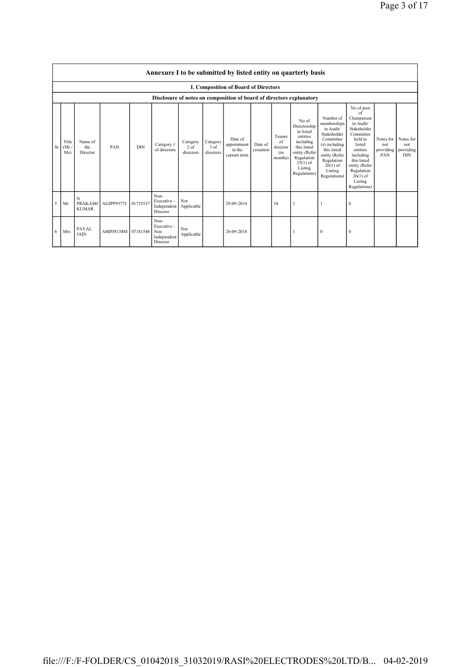Page 3 of 17

|    | I. Composition of Board of Directors                                 |                             |                     |            |                                                       |                                 |                               |                                                  |                      |                                            |                                                                                                                                                    |                                                                                                                                                                           |                                                                                                                                                                                                               |                                      |                                             |
|----|----------------------------------------------------------------------|-----------------------------|---------------------|------------|-------------------------------------------------------|---------------------------------|-------------------------------|--------------------------------------------------|----------------------|--------------------------------------------|----------------------------------------------------------------------------------------------------------------------------------------------------|---------------------------------------------------------------------------------------------------------------------------------------------------------------------------|---------------------------------------------------------------------------------------------------------------------------------------------------------------------------------------------------------------|--------------------------------------|---------------------------------------------|
|    | Disclosure of notes on composition of board of directors explanatory |                             |                     |            |                                                       |                                 |                               |                                                  |                      |                                            |                                                                                                                                                    |                                                                                                                                                                           |                                                                                                                                                                                                               |                                      |                                             |
| Sr | Title<br>(Mr)<br>Ms)                                                 | Name of<br>the<br>Director  | PAN                 | <b>DIN</b> | Category 1<br>of directors                            | Category<br>$2$ of<br>directors | Category<br>3 of<br>directors | Date of<br>appointment<br>in the<br>current term | Date of<br>cessation | Tenure<br>of<br>director<br>(in<br>months) | No of<br>Directorship<br>in listed<br>entities<br>including<br>this listed<br>entity (Refer<br>Regulation<br>$25(1)$ of<br>Listing<br>Regulations) | Number of<br>memberships<br>in Audit/<br>Stakeholder<br>Committee<br>(s) including<br>this listed<br>entity (Refer<br>Regulation<br>$26(1)$ of<br>Listing<br>Regulations) | No of post<br>of<br>Chairperson<br>in Audit/<br>Stakeholder<br>Committee<br>held in<br>listed<br>entities<br>including<br>this listed<br>entity (Refer<br>Regulation<br>$26(1)$ of<br>Listing<br>Regulations) | Notes for<br>not<br>providing<br>PAN | Notes for<br>not<br>providing<br><b>DIN</b> |
| 5  | Mr                                                                   | N<br><b>KUMAR</b>           | PRAKASH AGJPP9377J  | 01735537   | Non-<br>Executive -<br>Independent<br>Director        | Not<br>Applicable               |                               | 29-09-2014                                       |                      | 54                                         |                                                                                                                                                    |                                                                                                                                                                           | $\theta$                                                                                                                                                                                                      |                                      |                                             |
| 6  | <b>Mrs</b>                                                           | <b>PAYAL</b><br><b>JAIN</b> | ABIPJ8138M 07181548 |            | Non-<br>Executive -<br>Non<br>Independent<br>Director | Not<br>Applicable               |                               | 26-09-2018                                       |                      |                                            |                                                                                                                                                    | $\mathbf{0}$                                                                                                                                                              | $\mathbf{0}$                                                                                                                                                                                                  |                                      |                                             |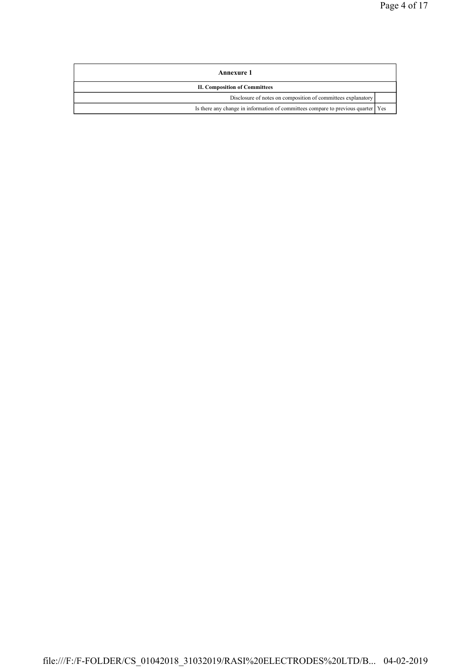| Annexure 1                                                                       |  |
|----------------------------------------------------------------------------------|--|
| <b>II. Composition of Committees</b>                                             |  |
| Disclosure of notes on composition of committees explanatory                     |  |
| Is there any change in information of committees compare to previous quarter Yes |  |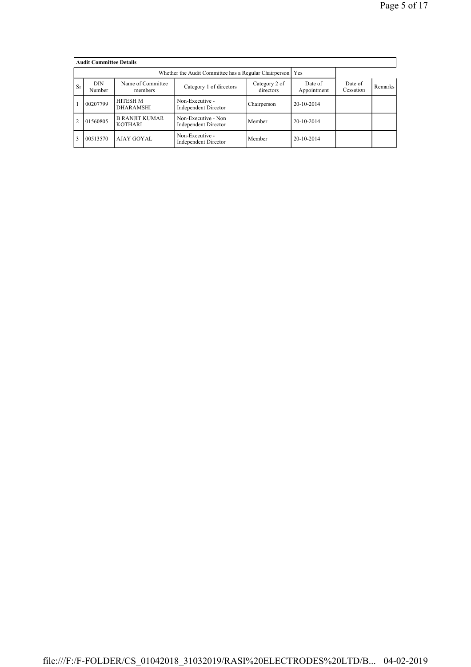|                | <b>Audit Committee Details</b>                                                                                |                                         |                                                    |             |                        |                      |         |  |  |  |  |  |
|----------------|---------------------------------------------------------------------------------------------------------------|-----------------------------------------|----------------------------------------------------|-------------|------------------------|----------------------|---------|--|--|--|--|--|
|                |                                                                                                               |                                         |                                                    |             |                        |                      |         |  |  |  |  |  |
| <b>Sr</b>      | Name of Committee<br><b>DIN</b><br>Category 2 of<br>Category 1 of directors<br>directors<br>Number<br>members |                                         |                                                    |             | Date of<br>Appointment | Date of<br>Cessation | Remarks |  |  |  |  |  |
|                | 00207799                                                                                                      | <b>HITESH M</b><br><b>DHARAMSHI</b>     | Non-Executive -<br><b>Independent Director</b>     | Chairperson | 20-10-2014             |                      |         |  |  |  |  |  |
| $\overline{2}$ | 01560805                                                                                                      | <b>B RANJIT KUMAR</b><br><b>KOTHARI</b> | Non-Executive - Non<br><b>Independent Director</b> | Member      | 20-10-2014             |                      |         |  |  |  |  |  |
| 3              | 00513570                                                                                                      | AJAY GOYAL                              | Non-Executive -<br><b>Independent Director</b>     | Member      | 20-10-2014             |                      |         |  |  |  |  |  |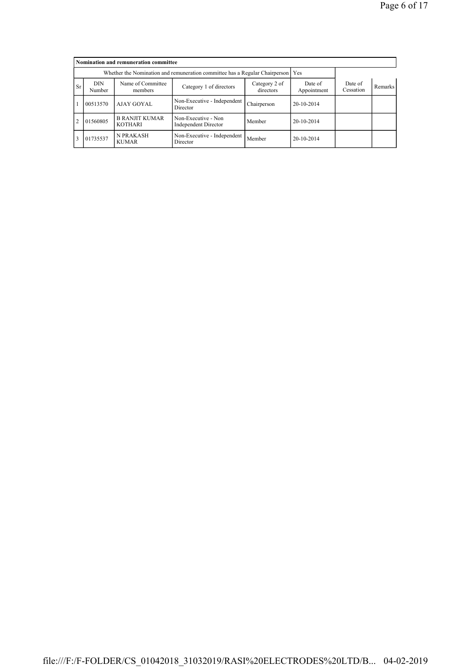|                | Nomination and remuneration committee                                       |                                         |                                                    |                      |                |  |  |  |  |  |  |  |
|----------------|-----------------------------------------------------------------------------|-----------------------------------------|----------------------------------------------------|----------------------|----------------|--|--|--|--|--|--|--|
|                | Whether the Nomination and remuneration committee has a Regular Chairperson |                                         |                                                    |                      |                |  |  |  |  |  |  |  |
| <b>Sr</b>      | <b>DIN</b><br>Number                                                        | Name of Committee<br>members            | Date of<br>Appointment                             | Date of<br>Cessation | <b>Remarks</b> |  |  |  |  |  |  |  |
|                | 00513570                                                                    | AJAY GOYAL                              | Non-Executive - Independent<br>Director            | Chairperson          | 20-10-2014     |  |  |  |  |  |  |  |
| $\overline{2}$ | 01560805                                                                    | <b>B RANJIT KUMAR</b><br><b>KOTHARI</b> | Non-Executive - Non<br><b>Independent Director</b> | Member               | 20-10-2014     |  |  |  |  |  |  |  |
| $\overline{3}$ | 01735537                                                                    | <b>N PRAKASH</b><br><b>KUMAR</b>        | Non-Executive - Independent<br>Director            | Member               | 20-10-2014     |  |  |  |  |  |  |  |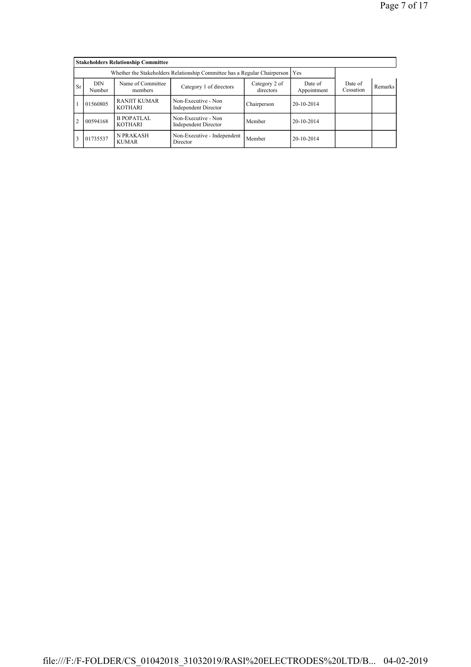|                |                                                                                 | <b>Stakeholders Relationship Committee</b> |                                                    |                      |              |  |  |
|----------------|---------------------------------------------------------------------------------|--------------------------------------------|----------------------------------------------------|----------------------|--------------|--|--|
|                | Whether the Stakeholders Relationship Committee has a Regular Chairperson   Yes |                                            |                                                    |                      |              |  |  |
| <b>Sr</b>      | <b>DIN</b><br>Number                                                            | Name of Committee<br>members               | Date of<br>Appointment                             | Date of<br>Cessation | Remarks      |  |  |
|                | 01560805                                                                        | <b>RANJIT KUMAR</b><br><b>KOTHARI</b>      | Non-Executive - Non<br><b>Independent Director</b> | Chairperson          | $20-10-2014$ |  |  |
| $\overline{2}$ | 00594168                                                                        | <b>B POPATLAL</b><br><b>KOTHARI</b>        | Non-Executive - Non<br><b>Independent Director</b> | Member               | $20-10-2014$ |  |  |
| $\overline{3}$ | 01735537                                                                        | <b>N PRAKASH</b><br><b>KUMAR</b>           | Non-Executive - Independent<br>Director            | Member               | $20-10-2014$ |  |  |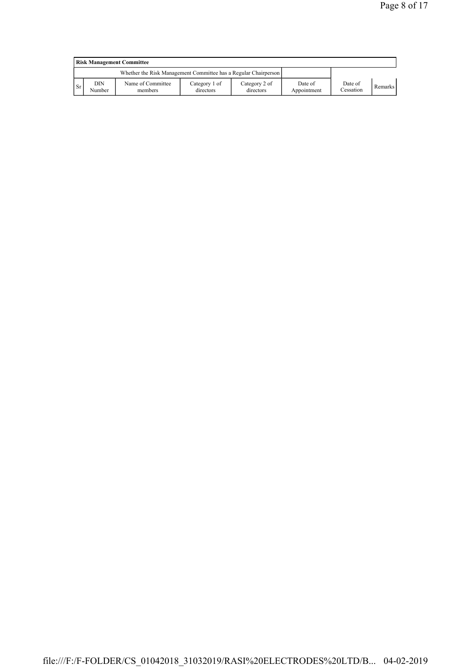|           | <b>Risk Management Committee</b> |                                                                 |                            |                            |                        |                      |         |  |  |  |  |
|-----------|----------------------------------|-----------------------------------------------------------------|----------------------------|----------------------------|------------------------|----------------------|---------|--|--|--|--|
|           |                                  | Whether the Risk Management Committee has a Regular Chairperson |                            |                            |                        |                      |         |  |  |  |  |
| <b>Sr</b> | DIN<br>Number                    | Name of Committee<br>members                                    | Category 1 of<br>directors | Category 2 of<br>directors | Date of<br>Appointment | Date of<br>Cessation | Remarks |  |  |  |  |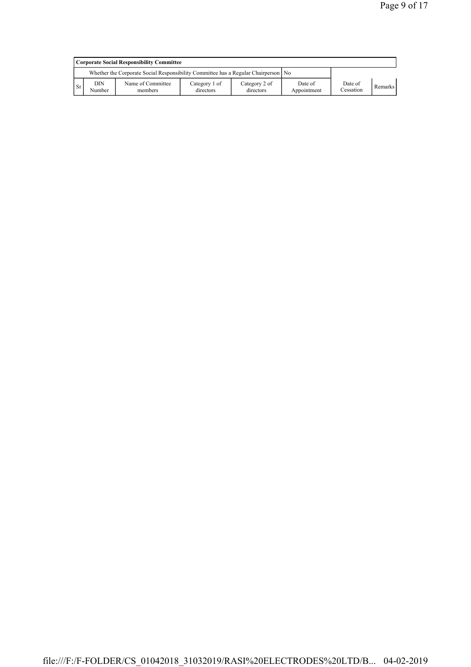|     | <b>Corporate Social Responsibility Committee</b>                                     |                              |                            |                            |                        |                      |         |  |  |  |
|-----|--------------------------------------------------------------------------------------|------------------------------|----------------------------|----------------------------|------------------------|----------------------|---------|--|--|--|
|     | Whether the Corporate Social Responsibility Committee has a Regular Chairperson   No |                              |                            |                            |                        |                      |         |  |  |  |
| -Sr | DIN<br>Number                                                                        | Name of Committee<br>members | Category 1 of<br>directors | Category 2 of<br>directors | Date of<br>Appointment | Date of<br>Cessation | Remarks |  |  |  |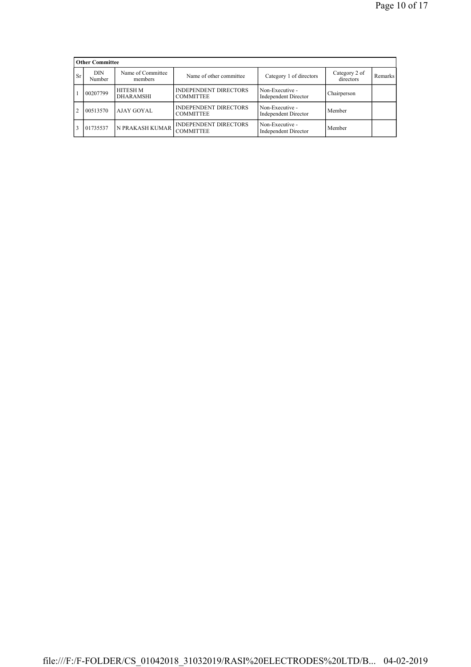|           | <b>Other Committee</b> |                                     |                                                  |                                                |                            |                |  |  |  |  |  |
|-----------|------------------------|-------------------------------------|--------------------------------------------------|------------------------------------------------|----------------------------|----------------|--|--|--|--|--|
| <b>Sr</b> | DIN<br>Number          | Name of Committee<br>members        | Name of other committee                          | Category 1 of directors                        | Category 2 of<br>directors | <b>Remarks</b> |  |  |  |  |  |
|           | 00207799               | <b>HITESH M</b><br><b>DHARAMSHI</b> | <b>INDEPENDENT DIRECTORS</b><br><b>COMMITTEE</b> | Non-Executive -<br><b>Independent Director</b> | Chairperson                |                |  |  |  |  |  |
| 2         | 00513570               | AJAY GOYAL                          | <b>INDEPENDENT DIRECTORS</b><br><b>COMMITTEE</b> | Non-Executive -<br><b>Independent Director</b> | Member                     |                |  |  |  |  |  |
|           | 01735537               | N PRAKASH KUMAR                     | <b>INDEPENDENT DIRECTORS</b><br><b>COMMITTEE</b> | Non-Executive -<br><b>Independent Director</b> | Member                     |                |  |  |  |  |  |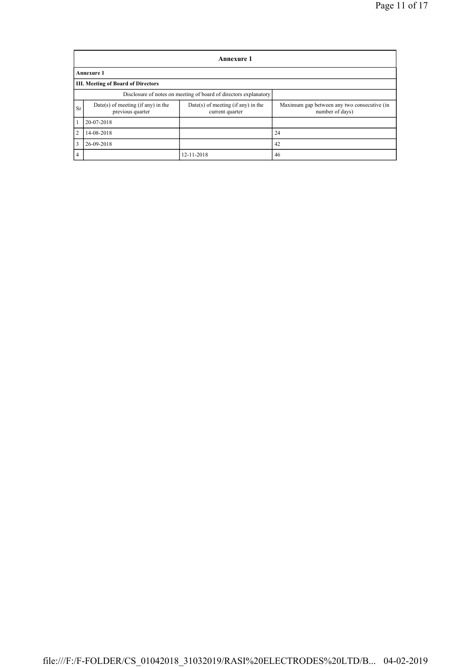|                                                                  | Annexure 1                                               |                                                       |                                                                |  |  |  |  |  |  |  |  |  |
|------------------------------------------------------------------|----------------------------------------------------------|-------------------------------------------------------|----------------------------------------------------------------|--|--|--|--|--|--|--|--|--|
|                                                                  | <b>Annexure 1</b>                                        |                                                       |                                                                |  |  |  |  |  |  |  |  |  |
|                                                                  | <b>III. Meeting of Board of Directors</b>                |                                                       |                                                                |  |  |  |  |  |  |  |  |  |
| Disclosure of notes on meeting of board of directors explanatory |                                                          |                                                       |                                                                |  |  |  |  |  |  |  |  |  |
| <b>Sr</b>                                                        | $Date(s)$ of meeting (if any) in the<br>previous quarter | Date(s) of meeting (if any) in the<br>current quarter | Maximum gap between any two consecutive (in<br>number of days) |  |  |  |  |  |  |  |  |  |
| 1                                                                | 20-07-2018                                               |                                                       |                                                                |  |  |  |  |  |  |  |  |  |
| $\overline{2}$                                                   | 14-08-2018                                               |                                                       | 24                                                             |  |  |  |  |  |  |  |  |  |
| 3                                                                | 26-09-2018                                               |                                                       | 42                                                             |  |  |  |  |  |  |  |  |  |
| $\overline{4}$                                                   |                                                          | 12-11-2018                                            | 46                                                             |  |  |  |  |  |  |  |  |  |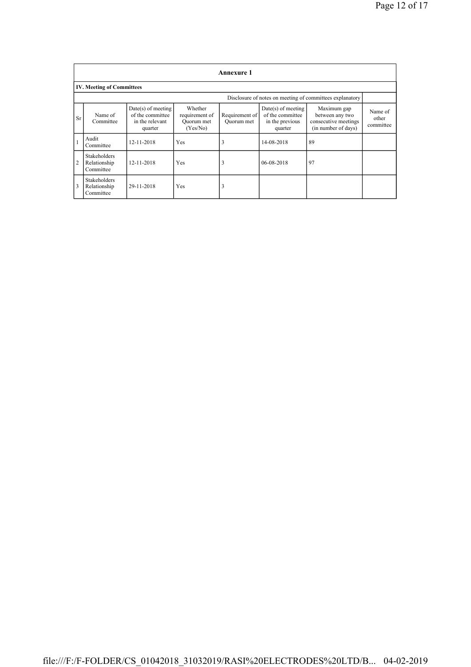|                                                          | <b>Annexure 1</b>                                |                                                                        |                                                     |                              |                                                                        |                                                                               |                               |  |  |  |  |
|----------------------------------------------------------|--------------------------------------------------|------------------------------------------------------------------------|-----------------------------------------------------|------------------------------|------------------------------------------------------------------------|-------------------------------------------------------------------------------|-------------------------------|--|--|--|--|
|                                                          | <b>IV. Meeting of Committees</b>                 |                                                                        |                                                     |                              |                                                                        |                                                                               |                               |  |  |  |  |
| Disclosure of notes on meeting of committees explanatory |                                                  |                                                                        |                                                     |                              |                                                                        |                                                                               |                               |  |  |  |  |
| <b>Sr</b>                                                | Name of<br>Committee                             | $Date(s)$ of meeting<br>of the committee<br>in the relevant<br>quarter | Whether<br>requirement of<br>Ouorum met<br>(Yes/No) | Requirement of<br>Ouorum met | $Date(s)$ of meeting<br>of the committee<br>in the previous<br>quarter | Maximum gap<br>between any two<br>consecutive meetings<br>(in number of days) | Name of<br>other<br>committee |  |  |  |  |
|                                                          | Audit<br>Committee                               | 12-11-2018                                                             | Yes                                                 | 3                            | 14-08-2018                                                             | 89                                                                            |                               |  |  |  |  |
| $\overline{2}$                                           | <b>Stakeholders</b><br>Relationship<br>Committee | 12-11-2018                                                             | Yes                                                 | 3                            | 06-08-2018                                                             | 97                                                                            |                               |  |  |  |  |
| 3                                                        | <b>Stakeholders</b><br>Relationship<br>Committee | 29-11-2018                                                             | Yes                                                 | J.                           |                                                                        |                                                                               |                               |  |  |  |  |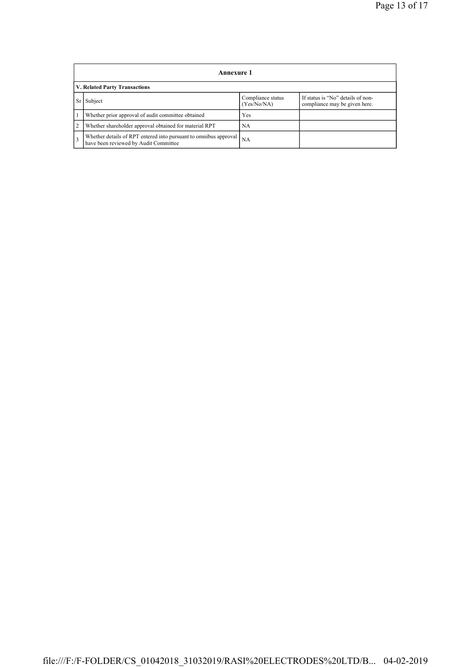|                               | Annexure 1                                                                                                |                                  |                                                                    |  |  |  |
|-------------------------------|-----------------------------------------------------------------------------------------------------------|----------------------------------|--------------------------------------------------------------------|--|--|--|
| V. Related Party Transactions |                                                                                                           |                                  |                                                                    |  |  |  |
| Sr I                          | Subject                                                                                                   | Compliance status<br>(Yes/No/NA) | If status is "No" details of non-<br>compliance may be given here. |  |  |  |
|                               | Whether prior approval of audit committee obtained                                                        | Yes                              |                                                                    |  |  |  |
| $\overline{2}$                | Whether shareholder approval obtained for material RPT                                                    | NA                               |                                                                    |  |  |  |
| $\overline{3}$                | Whether details of RPT entered into pursuant to omnibus approval<br>have been reviewed by Audit Committee | <b>NA</b>                        |                                                                    |  |  |  |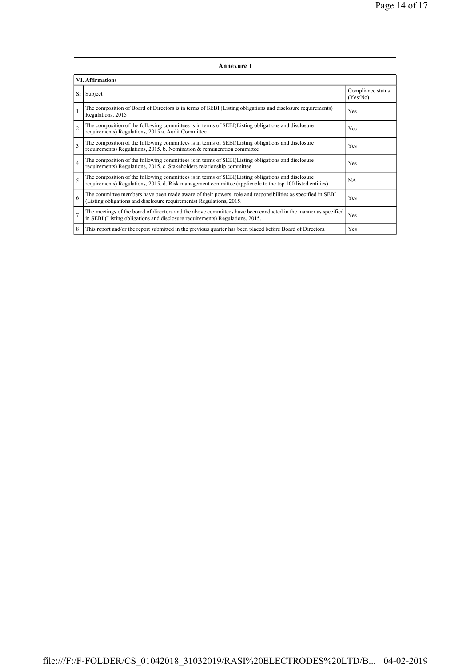| <b>Annexure 1</b>       |                                                                                                                                                                                                                 |                               |  |  |  |
|-------------------------|-----------------------------------------------------------------------------------------------------------------------------------------------------------------------------------------------------------------|-------------------------------|--|--|--|
| <b>VI. Affirmations</b> |                                                                                                                                                                                                                 |                               |  |  |  |
|                         | Sr Subject                                                                                                                                                                                                      | Compliance status<br>(Yes/No) |  |  |  |
| $\mathbf{1}$            | The composition of Board of Directors is in terms of SEBI (Listing obligations and disclosure requirements)<br>Regulations, 2015                                                                                | Yes                           |  |  |  |
| $\overline{2}$          | The composition of the following committees is in terms of SEBI(Listing obligations and disclosure<br>requirements) Regulations, 2015 a. Audit Committee                                                        | Yes                           |  |  |  |
| $\overline{\mathbf{3}}$ | The composition of the following committees is in terms of SEBI(Listing obligations and disclosure<br>requirements) Regulations, 2015. b. Nomination & remuneration committee                                   | <b>Yes</b>                    |  |  |  |
| $\overline{4}$          | The composition of the following committees is in terms of SEBI(Listing obligations and disclosure<br>requirements) Regulations, 2015. c. Stakeholders relationship committee                                   | Yes                           |  |  |  |
| 5                       | The composition of the following committees is in terms of SEBI(Listing obligations and disclosure<br>requirements) Regulations, 2015. d. Risk management committee (applicable to the top 100 listed entities) | <b>NA</b>                     |  |  |  |
| 6                       | The committee members have been made aware of their powers, role and responsibilities as specified in SEBI<br>(Listing obligations and disclosure requirements) Regulations, 2015.                              | Yes                           |  |  |  |
| $\overline{7}$          | The meetings of the board of directors and the above committees have been conducted in the manner as specified<br>in SEBI (Listing obligations and disclosure requirements) Regulations, 2015.                  | Yes                           |  |  |  |
| 8                       | This report and/or the report submitted in the previous quarter has been placed before Board of Directors.                                                                                                      | Yes                           |  |  |  |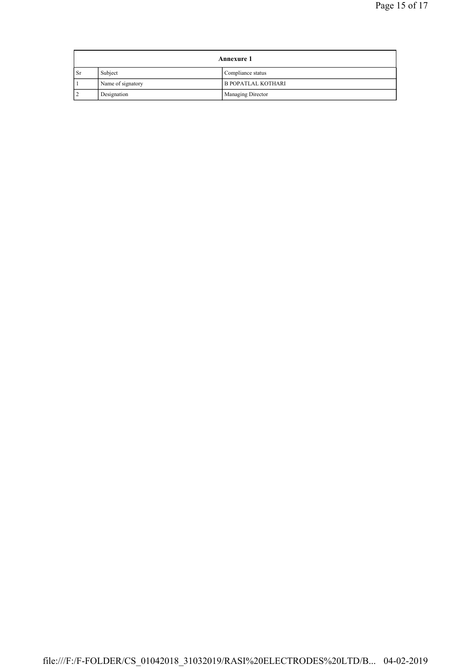| <b>Annexure 1</b> |                   |                           |
|-------------------|-------------------|---------------------------|
| <b>Sr</b>         | Subject           | Compliance status         |
|                   | Name of signatory | <b>B POPATLAL KOTHARI</b> |
|                   | Designation       | Managing Director         |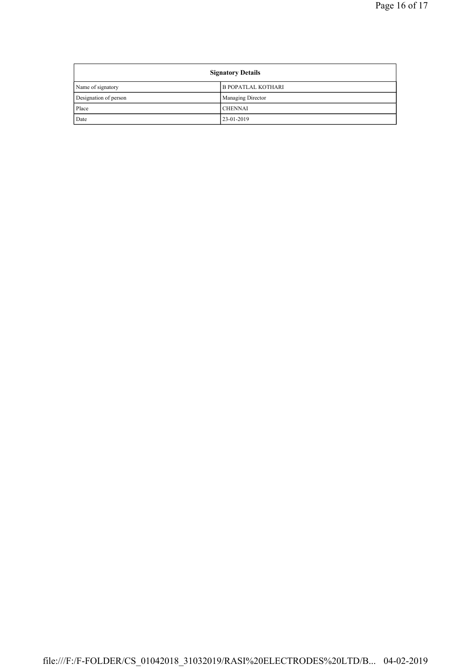| <b>Signatory Details</b> |                           |  |
|--------------------------|---------------------------|--|
| Name of signatory        | <b>B POPATLAL KOTHARI</b> |  |
| Designation of person    | <b>Managing Director</b>  |  |
| Place                    | <b>CHENNAI</b>            |  |
| Date                     | 23-01-2019                |  |